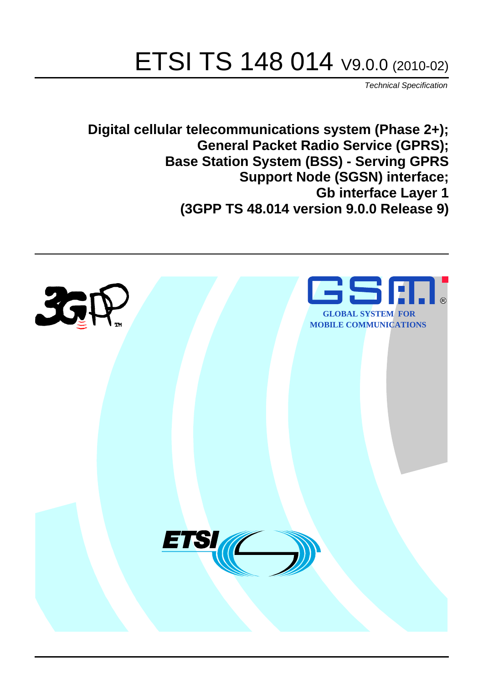# ETSI TS 148 014 V9.0.0 (2010-02)

*Technical Specification*

**Digital cellular telecommunications system (Phase 2+); General Packet Radio Service (GPRS); Base Station System (BSS) - Serving GPRS Support Node (SGSN) interface; Gb interface Layer 1 (3GPP TS 48.014 version 9.0.0 Release 9)**

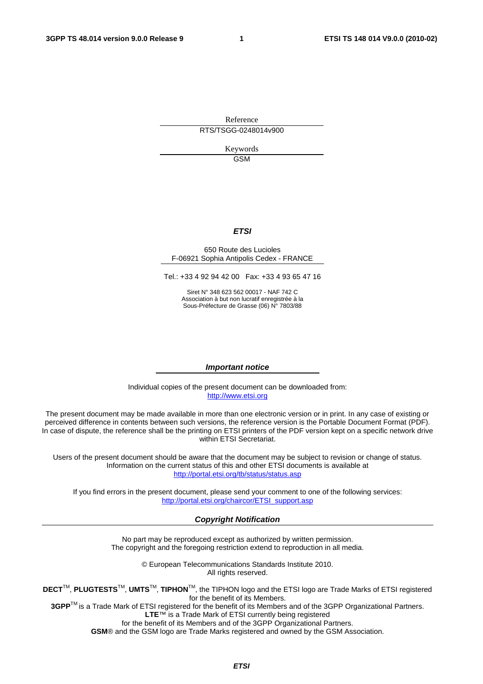Reference RTS/TSGG-0248014v900

> Keywords GSM

#### *ETSI*

#### 650 Route des Lucioles F-06921 Sophia Antipolis Cedex - FRANCE

Tel.: +33 4 92 94 42 00 Fax: +33 4 93 65 47 16

Siret N° 348 623 562 00017 - NAF 742 C Association à but non lucratif enregistrée à la Sous-Préfecture de Grasse (06) N° 7803/88

#### *Important notice*

Individual copies of the present document can be downloaded from: [http://www.etsi.org](http://www.etsi.org/)

The present document may be made available in more than one electronic version or in print. In any case of existing or perceived difference in contents between such versions, the reference version is the Portable Document Format (PDF). In case of dispute, the reference shall be the printing on ETSI printers of the PDF version kept on a specific network drive within ETSI Secretariat.

Users of the present document should be aware that the document may be subject to revision or change of status. Information on the current status of this and other ETSI documents is available at <http://portal.etsi.org/tb/status/status.asp>

If you find errors in the present document, please send your comment to one of the following services: [http://portal.etsi.org/chaircor/ETSI\\_support.asp](http://portal.etsi.org/chaircor/ETSI_support.asp)

#### *Copyright Notification*

No part may be reproduced except as authorized by written permission. The copyright and the foregoing restriction extend to reproduction in all media.

> © European Telecommunications Standards Institute 2010. All rights reserved.

**DECT**TM, **PLUGTESTS**TM, **UMTS**TM, **TIPHON**TM, the TIPHON logo and the ETSI logo are Trade Marks of ETSI registered for the benefit of its Members.

**3GPP**TM is a Trade Mark of ETSI registered for the benefit of its Members and of the 3GPP Organizational Partners. **LTE**™ is a Trade Mark of ETSI currently being registered

for the benefit of its Members and of the 3GPP Organizational Partners.

**GSM**® and the GSM logo are Trade Marks registered and owned by the GSM Association.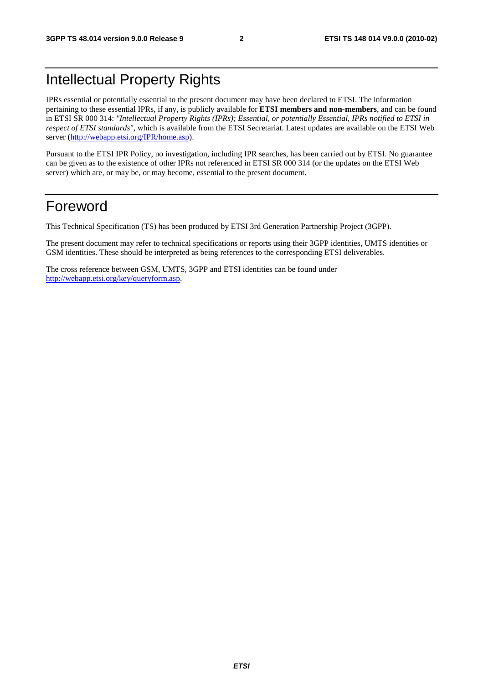# Intellectual Property Rights

IPRs essential or potentially essential to the present document may have been declared to ETSI. The information pertaining to these essential IPRs, if any, is publicly available for **ETSI members and non-members**, and can be found in ETSI SR 000 314: *"Intellectual Property Rights (IPRs); Essential, or potentially Essential, IPRs notified to ETSI in respect of ETSI standards"*, which is available from the ETSI Secretariat. Latest updates are available on the ETSI Web server [\(http://webapp.etsi.org/IPR/home.asp\)](http://webapp.etsi.org/IPR/home.asp).

Pursuant to the ETSI IPR Policy, no investigation, including IPR searches, has been carried out by ETSI. No guarantee can be given as to the existence of other IPRs not referenced in ETSI SR 000 314 (or the updates on the ETSI Web server) which are, or may be, or may become, essential to the present document.

## Foreword

This Technical Specification (TS) has been produced by ETSI 3rd Generation Partnership Project (3GPP).

The present document may refer to technical specifications or reports using their 3GPP identities, UMTS identities or GSM identities. These should be interpreted as being references to the corresponding ETSI deliverables.

The cross reference between GSM, UMTS, 3GPP and ETSI identities can be found under [http://webapp.etsi.org/key/queryform.asp.](http://webapp.etsi.org/key/queryform.asp)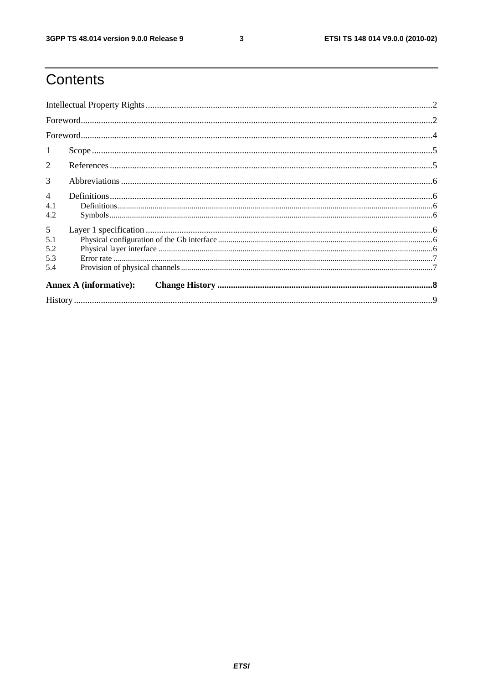$\mathbf{3}$ 

# Contents

| -1                            |  |  |  |  |
|-------------------------------|--|--|--|--|
| 2                             |  |  |  |  |
| 3                             |  |  |  |  |
| $\overline{4}$                |  |  |  |  |
| 4.1<br>4.2                    |  |  |  |  |
| 5                             |  |  |  |  |
| 5.1                           |  |  |  |  |
| 5.2                           |  |  |  |  |
| 5.3                           |  |  |  |  |
| 5.4                           |  |  |  |  |
| <b>Annex A (informative):</b> |  |  |  |  |
|                               |  |  |  |  |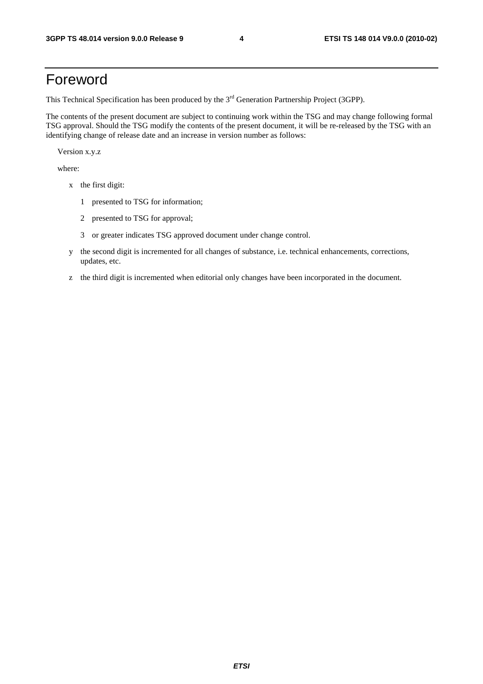# Foreword

This Technical Specification has been produced by the 3<sup>rd</sup> Generation Partnership Project (3GPP).

The contents of the present document are subject to continuing work within the TSG and may change following formal TSG approval. Should the TSG modify the contents of the present document, it will be re-released by the TSG with an identifying change of release date and an increase in version number as follows:

Version x.y.z

where:

- x the first digit:
	- 1 presented to TSG for information;
	- 2 presented to TSG for approval;
	- 3 or greater indicates TSG approved document under change control.
- y the second digit is incremented for all changes of substance, i.e. technical enhancements, corrections, updates, etc.
- z the third digit is incremented when editorial only changes have been incorporated in the document.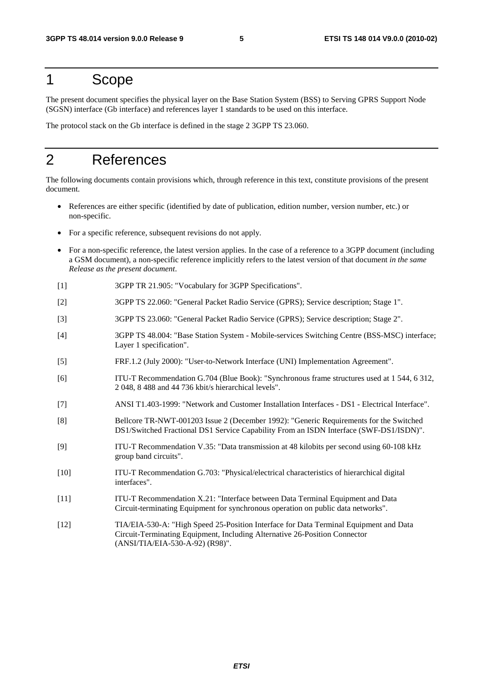## 1 Scope

The present document specifies the physical layer on the Base Station System (BSS) to Serving GPRS Support Node (SGSN) interface (Gb interface) and references layer 1 standards to be used on this interface.

The protocol stack on the Gb interface is defined in the stage 2 3GPP TS 23.060.

# 2 References

The following documents contain provisions which, through reference in this text, constitute provisions of the present document.

- References are either specific (identified by date of publication, edition number, version number, etc.) or non-specific.
- For a specific reference, subsequent revisions do not apply.
- For a non-specific reference, the latest version applies. In the case of a reference to a 3GPP document (including a GSM document), a non-specific reference implicitly refers to the latest version of that document *in the same Release as the present document*.
- [1] 3GPP TR 21.905: "Vocabulary for 3GPP Specifications".
- [2] 3GPP TS 22.060: "General Packet Radio Service (GPRS); Service description; Stage 1".
- [3] 3GPP TS 23.060: "General Packet Radio Service (GPRS); Service description; Stage 2".
- [4] 3GPP TS 48.004: "Base Station System Mobile-services Switching Centre (BSS-MSC) interface; Layer 1 specification".
- [5] FRF.1.2 (July 2000): "User-to-Network Interface (UNI) Implementation Agreement".
- [6] ITU-T Recommendation G.704 (Blue Book): "Synchronous frame structures used at 1 544, 6 312, 2 048, 8 488 and 44 736 kbit/s hierarchical levels".
- [7] ANSI T1.403-1999: "Network and Customer Installation Interfaces DS1 Electrical Interface".
- [8] Bellcore TR-NWT-001203 Issue 2 (December 1992): "Generic Requirements for the Switched DS1/Switched Fractional DS1 Service Capability From an ISDN Interface (SWF-DS1/ISDN)".
- [9] ITU-T Recommendation V.35: "Data transmission at 48 kilobits per second using 60-108 kHz group band circuits".
- [10] ITU-T Recommendation G.703: "Physical/electrical characteristics of hierarchical digital interfaces".
- [11] ITU-T Recommendation X.21: "Interface between Data Terminal Equipment and Data Circuit-terminating Equipment for synchronous operation on public data networks".
- [12] TIA/EIA-530-A: "High Speed 25-Position Interface for Data Terminal Equipment and Data Circuit-Terminating Equipment, Including Alternative 26-Position Connector (ANSI/TIA/EIA-530-A-92) (R98)".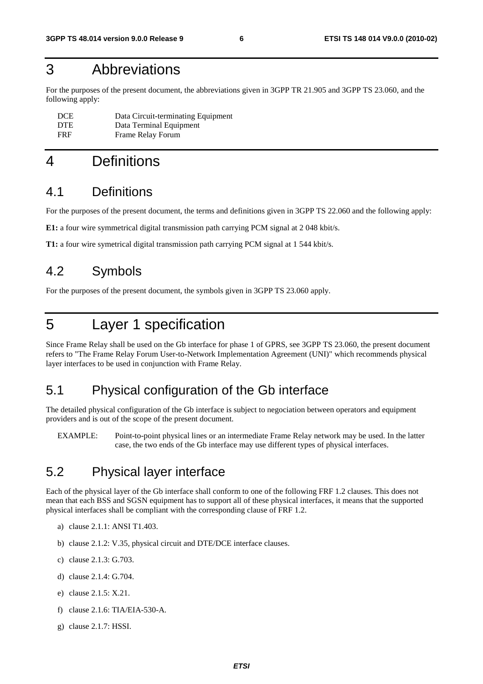# 3 Abbreviations

For the purposes of the present document, the abbreviations given in 3GPP TR 21.905 and 3GPP TS 23.060, and the following apply:

| <b>DCE</b> | Data Circuit-terminating Equipment |
|------------|------------------------------------|
| <b>DTE</b> | Data Terminal Equipment            |
| <b>FRF</b> | Frame Relay Forum                  |

# 4 Definitions

#### 4.1 Definitions

For the purposes of the present document, the terms and definitions given in 3GPP TS 22.060 and the following apply:

**E1:** a four wire symmetrical digital transmission path carrying PCM signal at 2 048 kbit/s.

**T1:** a four wire symetrical digital transmission path carrying PCM signal at 1 544 kbit/s.

### 4.2 Symbols

For the purposes of the present document, the symbols given in 3GPP TS 23.060 apply.

# 5 Layer 1 specification

Since Frame Relay shall be used on the Gb interface for phase 1 of GPRS, see 3GPP TS 23.060, the present document refers to "The Frame Relay Forum User-to-Network Implementation Agreement (UNI)" which recommends physical layer interfaces to be used in conjunction with Frame Relay.

### 5.1 Physical configuration of the Gb interface

The detailed physical configuration of the Gb interface is subject to negociation between operators and equipment providers and is out of the scope of the present document.

EXAMPLE: Point-to-point physical lines or an intermediate Frame Relay network may be used. In the latter case, the two ends of the Gb interface may use different types of physical interfaces.

### 5.2 Physical layer interface

Each of the physical layer of the Gb interface shall conform to one of the following FRF 1.2 clauses. This does not mean that each BSS and SGSN equipment has to support all of these physical interfaces, it means that the supported physical interfaces shall be compliant with the corresponding clause of FRF 1.2.

- a) clause 2.1.1: ANSI T1.403.
- b) clause 2.1.2: V.35, physical circuit and DTE/DCE interface clauses.
- c) clause 2.1.3: G.703.
- d) clause 2.1.4: G.704.
- e) clause 2.1.5: X.21.
- f) clause 2.1.6: TIA/EIA-530-A.
- g) clause 2.1.7: HSSI.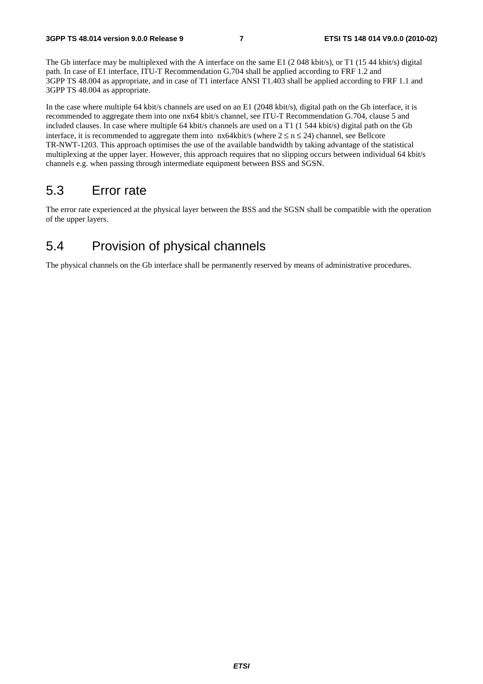The Gb interface may be multiplexed with the A interface on the same E1 (2048 kbit/s), or T1 (1544 kbit/s) digital path. In case of E1 interface, ITU-T Recommendation G.704 shall be applied according to FRF 1.2 and 3GPP TS 48.004 as appropriate, and in case of T1 interface ANSI T1.403 shall be applied according to FRF 1.1 and 3GPP TS 48.004 as appropriate.

In the case where multiple 64 kbit/s channels are used on an E1 (2048 kbit/s), digital path on the Gb interface, it is recommended to aggregate them into one nx64 kbit/s channel, see ITU-T Recommendation G.704, clause 5 and included clauses. In case where multiple 64 kbit/s channels are used on a T1 (1 544 kbit/s) digital path on the Gb interface, it is recommended to aggregate them into  $nx64kbit/s$  (where  $2 \le n \le 24$ ) channel, see Bellcore TR-NWT-1203. This approach optimises the use of the available bandwidth by taking advantage of the statistical multiplexing at the upper layer. However, this approach requires that no slipping occurs between individual 64 kbit/s channels e.g. when passing through intermediate equipment between BSS and SGSN.

### 5.3 Error rate

The error rate experienced at the physical layer between the BSS and the SGSN shall be compatible with the operation of the upper layers.

### 5.4 Provision of physical channels

The physical channels on the Gb interface shall be permanently reserved by means of administrative procedures.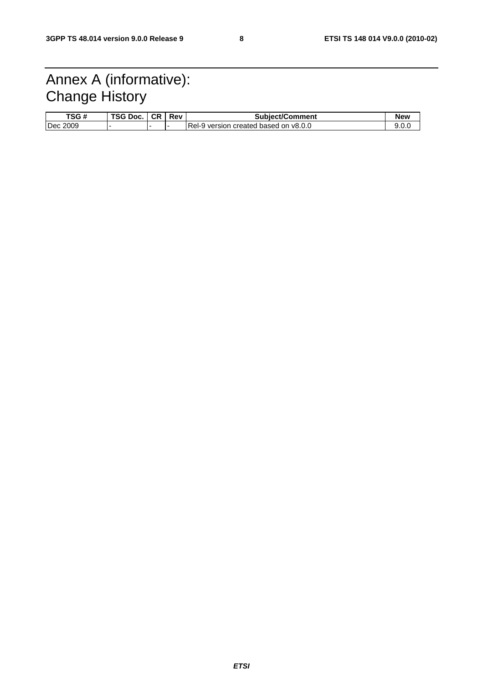# Annex A (informative): Change History

| TSG#     | TSG Doc. | <b>CR</b> | Rev | Subject/Comment                        | New |
|----------|----------|-----------|-----|----------------------------------------|-----|
| Dec 2009 |          |           |     | IRel-9 version created based on v8.0.0 |     |